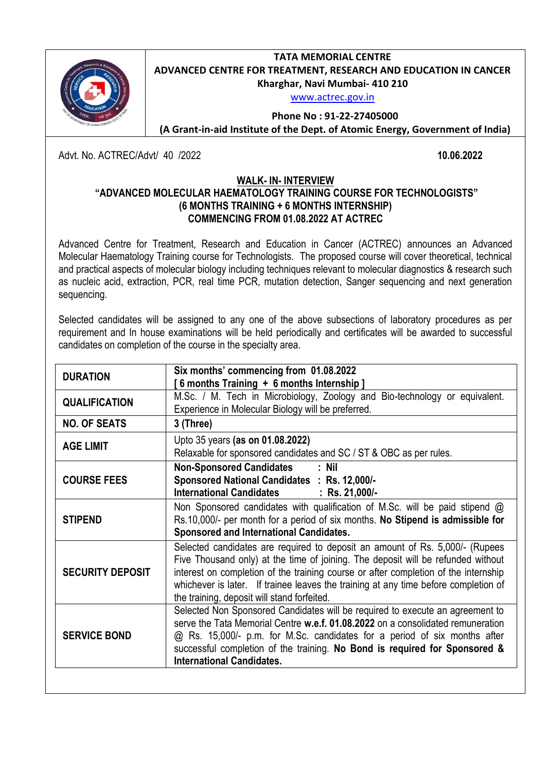**TATA MEMORIAL CENTRE ADVANCED CENTRE FOR TREATMENT, RESEARCH AND EDUCATION IN CANCER Kharghar, Navi Mumbai- 410 210**

[www.actrec.gov.in](http://www.actrec.gov.in/)



**Phone No : 91-22-27405000 (A Grant-in-aid Institute of the Dept. of Atomic Energy, Government of India)**

Advt. No. ACTREC/Advt/ 40 /2022 **10.06.2022**

## **WALK- IN- INTERVIEW**

# **"ADVANCED MOLECULAR HAEMATOLOGY TRAINING COURSE FOR TECHNOLOGISTS" (6 MONTHS TRAINING + 6 MONTHS INTERNSHIP) COMMENCING FROM 01.08.2022 AT ACTREC**

Advanced Centre for Treatment, Research and Education in Cancer (ACTREC) announces an Advanced Molecular Haematology Training course for Technologists. The proposed course will cover theoretical, technical and practical aspects of molecular biology including techniques relevant to molecular diagnostics & research such as nucleic acid, extraction, PCR, real time PCR, mutation detection, Sanger sequencing and next generation sequencing.

Selected candidates will be assigned to any one of the above subsections of laboratory procedures as per requirement and In house examinations will be held periodically and certificates will be awarded to successful candidates on completion of the course in the specialty area.

| <b>DURATION</b>         | Six months' commencing from 01.08.2022                                                                                                                                                                                                                                                                                                                                                        |
|-------------------------|-----------------------------------------------------------------------------------------------------------------------------------------------------------------------------------------------------------------------------------------------------------------------------------------------------------------------------------------------------------------------------------------------|
|                         | 6 months Training + 6 months Internship]                                                                                                                                                                                                                                                                                                                                                      |
| <b>QUALIFICATION</b>    | M.Sc. / M. Tech in Microbiology, Zoology and Bio-technology or equivalent.<br>Experience in Molecular Biology will be preferred.                                                                                                                                                                                                                                                              |
| <b>NO. OF SEATS</b>     | 3 (Three)                                                                                                                                                                                                                                                                                                                                                                                     |
| <b>AGE LIMIT</b>        | Upto 35 years (as on 01.08.2022)<br>Relaxable for sponsored candidates and SC / ST & OBC as per rules.                                                                                                                                                                                                                                                                                        |
| <b>COURSE FEES</b>      | <b>Non-Sponsored Candidates</b><br>: Nil<br>Sponsored National Candidates : Rs. 12,000/-<br>International Candidates : Rs. 21,000/-                                                                                                                                                                                                                                                           |
| <b>STIPEND</b>          | Non Sponsored candidates with qualification of M.Sc. will be paid stipend $\omega$<br>Rs.10,000/- per month for a period of six months. No Stipend is admissible for<br>Sponsored and International Candidates.                                                                                                                                                                               |
| <b>SECURITY DEPOSIT</b> | Selected candidates are required to deposit an amount of Rs. 5,000/- (Rupees<br>Five Thousand only) at the time of joining. The deposit will be refunded without<br>interest on completion of the training course or after completion of the internship<br>whichever is later. If trainee leaves the training at any time before completion of<br>the training, deposit will stand forfeited. |
| <b>SERVICE BOND</b>     | Selected Non Sponsored Candidates will be required to execute an agreement to<br>serve the Tata Memorial Centre w.e.f. 01.08.2022 on a consolidated remuneration<br>@ Rs. 15,000/- p.m. for M.Sc. candidates for a period of six months after<br>successful completion of the training. No Bond is required for Sponsored &<br><b>International Candidates.</b>                               |